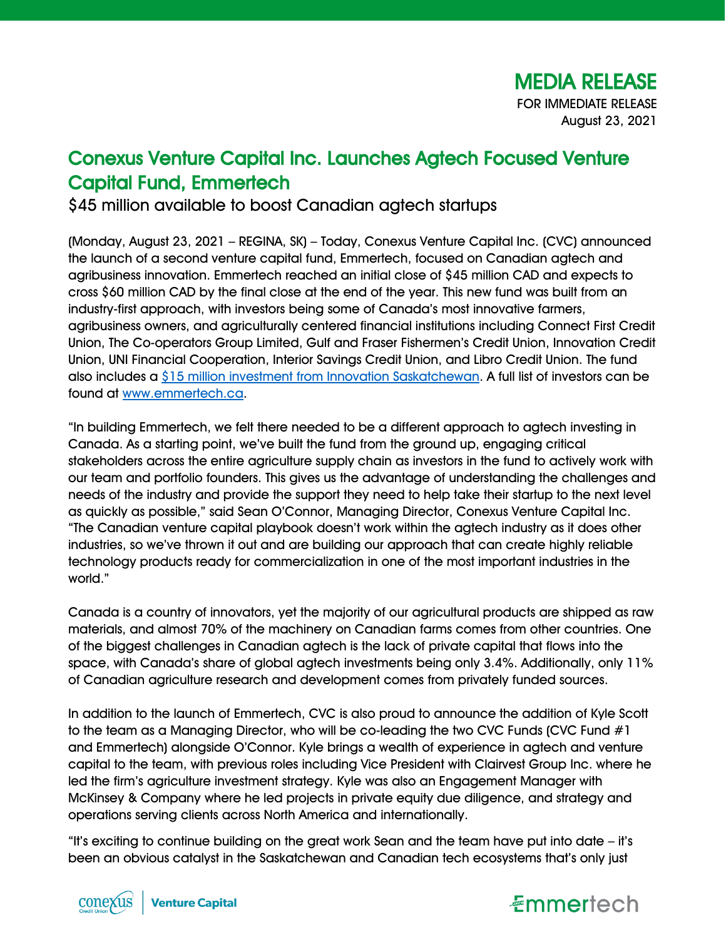## Conexus Venture Capital Inc. Launches Agtech Focused Venture Capital Fund, Emmertech

\$45 million available to boost Canadian agtech startups

(Monday, August 23, 2021 – REGINA, SK) – Today, Conexus Venture Capital Inc. (CVC) announced the launch of a second venture capital fund, Emmertech, focused on Canadian agtech and agribusiness innovation. Emmertech reached an initial close of \$45 million CAD and expects to cross \$60 million CAD by the final close at the end of the year. This new fund was built from an industry-first approach, with investors being some of Canada's most innovative farmers, agribusiness owners, and agriculturally centered financial institutions including Connect First Credit Union, The Co-operators Group Limited, Gulf and Fraser Fishermen's Credit Union, Innovation Credit Union, UNI Financial Cooperation, Interior Savings Credit Union, and Libro Credit Union. The fund also includes a [\\$15 million investment from Innovation Saskatchewan.](https://www.saskatchewan.ca/government/news-and-media/2021/june/07/saskatchewan-agtech-venture-capital-fund-manager-selected) A full list of investors can be found at [www.emmertech.ca.](http://www.emmertech.ca/)

"In building Emmertech, we felt there needed to be a different approach to agtech investing in Canada. As a starting point, we've built the fund from the ground up, engaging critical stakeholders across the entire agriculture supply chain as investors in the fund to actively work with our team and portfolio founders. This gives us the advantage of understanding the challenges and needs of the industry and provide the support they need to help take their startup to the next level as quickly as possible," said Sean O'Connor, Managing Director, Conexus Venture Capital Inc. "The Canadian venture capital playbook doesn't work within the agtech industry as it does other industries, so we've thrown it out and are building our approach that can create highly reliable technology products ready for commercialization in one of the most important industries in the world."

Canada is a country of innovators, yet the majority of our agricultural products are shipped as raw materials, and almost 70% of the machinery on Canadian farms comes from other countries. One of the biggest challenges in Canadian agtech is the lack of private capital that flows into the space, with Canada's share of global agtech investments being only 3.4%. Additionally, only 11% of Canadian agriculture research and development comes from privately funded sources.

In addition to the launch of Emmertech, CVC is also proud to announce the addition of Kyle Scott to the team as a Managing Director, who will be co-leading the two CVC Funds (CVC Fund  $#1$ and Emmertech) alongside O'Connor. Kyle brings a wealth of experience in agtech and venture capital to the team, with previous roles including Vice President with Clairvest Group Inc. where he led the firm's agriculture investment strategy. Kyle was also an Engagement Manager with McKinsey & Company where he led projects in private equity due diligence, and strategy and operations serving clients across North America and internationally.

"It's exciting to continue building on the great work Sean and the team have put into date – it's been an obvious catalyst in the Saskatchewan and Canadian tech ecosystems that's only just